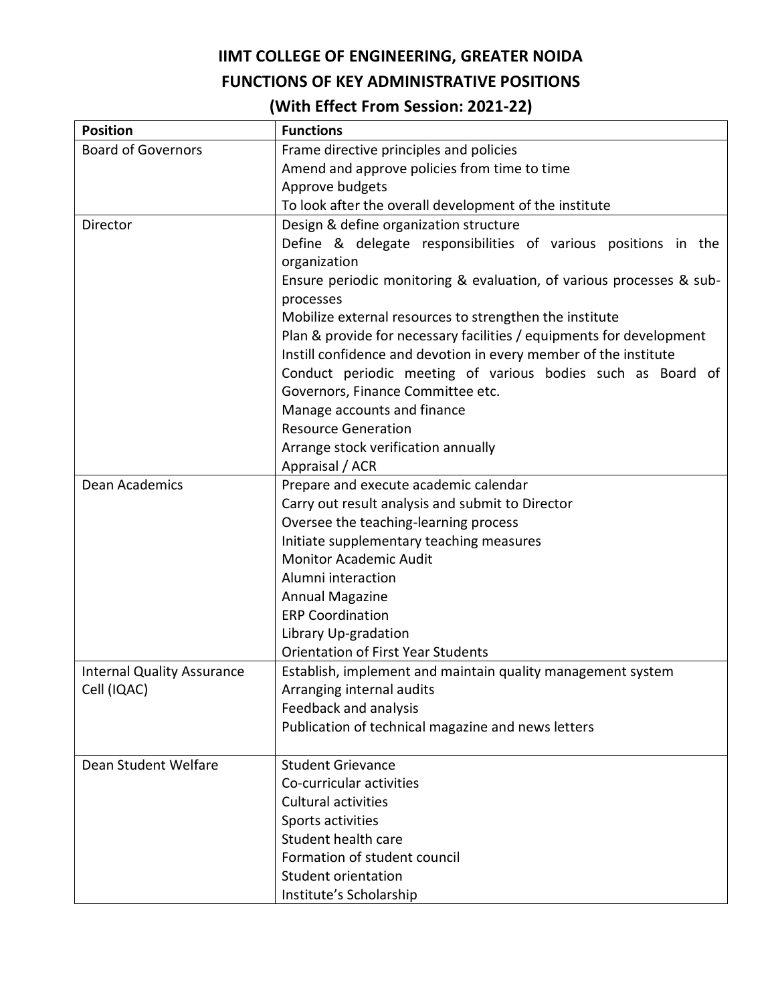## **IIMT COLLEGE OF ENGINEERING, GREATER NOIDA**

## **FUNCTIONS OF KEY ADMINISTRATIVE POSITIONS**

## **(With Effect From Session: 2021-22)**

| <b>Position</b>                   | <b>Functions</b>                                                     |
|-----------------------------------|----------------------------------------------------------------------|
| <b>Board of Governors</b>         | Frame directive principles and policies                              |
|                                   | Amend and approve policies from time to time                         |
|                                   | Approve budgets                                                      |
|                                   | To look after the overall development of the institute               |
| Director                          | Design & define organization structure                               |
|                                   | Define & delegate responsibilities of various positions in the       |
|                                   | organization                                                         |
|                                   | Ensure periodic monitoring & evaluation, of various processes & sub- |
|                                   | processes                                                            |
|                                   | Mobilize external resources to strengthen the institute              |
|                                   | Plan & provide for necessary facilities / equipments for development |
|                                   | Instill confidence and devotion in every member of the institute     |
|                                   | Conduct periodic meeting of various bodies such as Board of          |
|                                   | Governors, Finance Committee etc.                                    |
|                                   | Manage accounts and finance                                          |
|                                   | <b>Resource Generation</b>                                           |
|                                   | Arrange stock verification annually                                  |
|                                   | Appraisal / ACR                                                      |
| <b>Dean Academics</b>             | Prepare and execute academic calendar                                |
|                                   | Carry out result analysis and submit to Director                     |
|                                   | Oversee the teaching-learning process                                |
|                                   | Initiate supplementary teaching measures                             |
|                                   | <b>Monitor Academic Audit</b>                                        |
|                                   | Alumni interaction                                                   |
|                                   | <b>Annual Magazine</b><br><b>ERP Coordination</b>                    |
|                                   | Library Up-gradation                                                 |
|                                   | <b>Orientation of First Year Students</b>                            |
| <b>Internal Quality Assurance</b> | Establish, implement and maintain quality management system          |
| Cell (IQAC)                       | Arranging internal audits                                            |
|                                   | Feedback and analysis                                                |
|                                   | Publication of technical magazine and news letters                   |
|                                   |                                                                      |
| Dean Student Welfare              | <b>Student Grievance</b>                                             |
|                                   | Co-curricular activities                                             |
|                                   | <b>Cultural activities</b>                                           |
|                                   | Sports activities                                                    |
|                                   | Student health care                                                  |
|                                   | Formation of student council                                         |
|                                   | Student orientation                                                  |
|                                   | Institute's Scholarship                                              |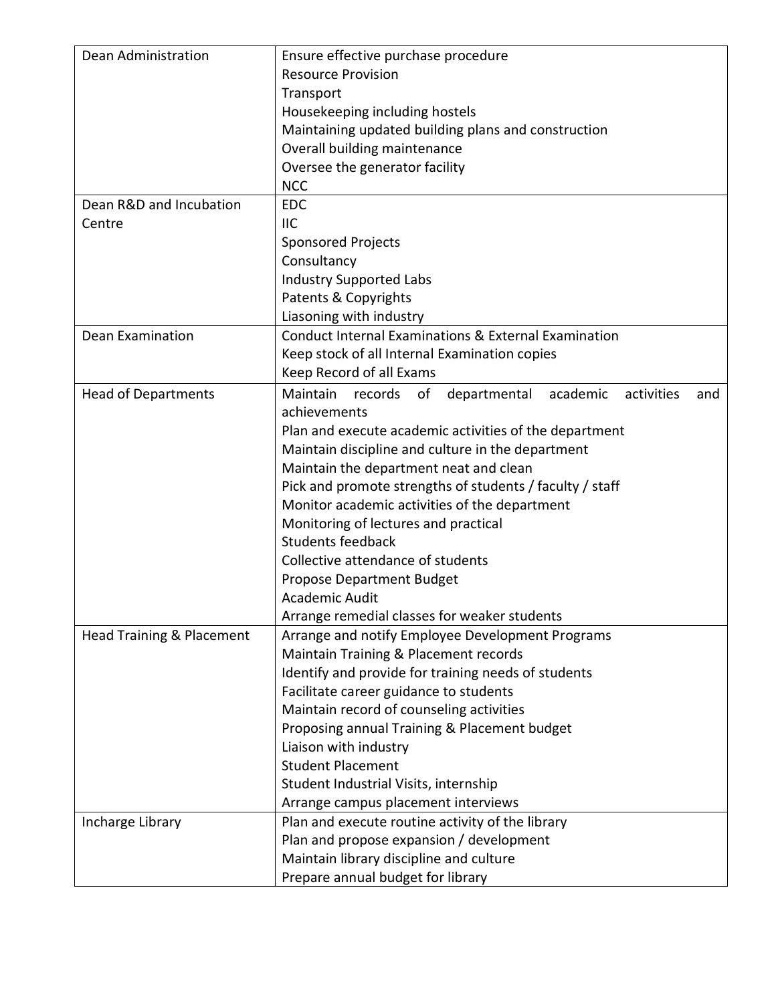| Dean Administration        | Ensure effective purchase procedure                                  |
|----------------------------|----------------------------------------------------------------------|
|                            | <b>Resource Provision</b>                                            |
|                            | Transport                                                            |
|                            | Housekeeping including hostels                                       |
|                            | Maintaining updated building plans and construction                  |
|                            | Overall building maintenance                                         |
|                            | Oversee the generator facility                                       |
|                            | <b>NCC</b>                                                           |
| Dean R&D and Incubation    | <b>EDC</b>                                                           |
| Centre                     | <b>IIC</b>                                                           |
|                            | <b>Sponsored Projects</b>                                            |
|                            | Consultancy                                                          |
|                            | <b>Industry Supported Labs</b>                                       |
|                            | Patents & Copyrights                                                 |
|                            | Liasoning with industry                                              |
| <b>Dean Examination</b>    | Conduct Internal Examinations & External Examination                 |
|                            | Keep stock of all Internal Examination copies                        |
|                            | Keep Record of all Exams                                             |
| <b>Head of Departments</b> | Maintain records<br>departmental academic<br>of<br>activities<br>and |
|                            | achievements                                                         |
|                            | Plan and execute academic activities of the department               |
|                            | Maintain discipline and culture in the department                    |
|                            | Maintain the department neat and clean                               |
|                            | Pick and promote strengths of students / faculty / staff             |
|                            | Monitor academic activities of the department                        |
|                            | Monitoring of lectures and practical                                 |
|                            | <b>Students feedback</b>                                             |
|                            | Collective attendance of students                                    |
|                            | Propose Department Budget                                            |
|                            | Academic Audit                                                       |
|                            | Arrange remedial classes for weaker students                         |
| Head Training & Placement  | Arrange and notify Employee Development Programs                     |
|                            | Maintain Training & Placement records                                |
|                            | Identify and provide for training needs of students                  |
|                            | Facilitate career guidance to students                               |
|                            | Maintain record of counseling activities                             |
|                            | Proposing annual Training & Placement budget                         |
|                            | Liaison with industry                                                |
|                            | <b>Student Placement</b>                                             |
|                            | Student Industrial Visits, internship                                |
|                            | Arrange campus placement interviews                                  |
| Incharge Library           | Plan and execute routine activity of the library                     |
|                            | Plan and propose expansion / development                             |
|                            | Maintain library discipline and culture                              |
|                            | Prepare annual budget for library                                    |